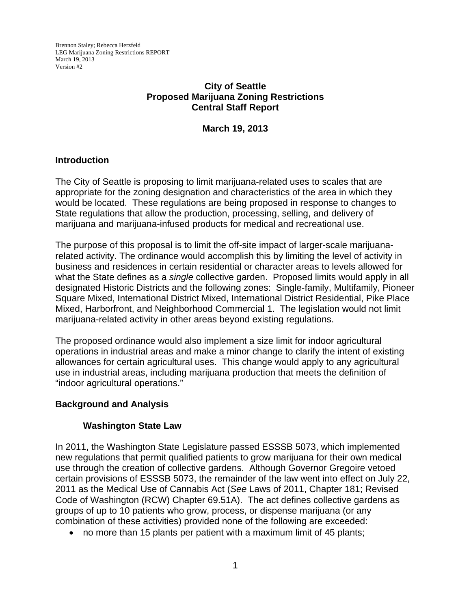Brennon Staley; Rebecca Herzfeld LEG Marijuana Zoning Restrictions REPORT March 19, 2013 Version #2

# **City of Seattle Proposed Marijuana Zoning Restrictions Central Staff Report**

**March 19, 2013** 

### **Introduction**

The City of Seattle is proposing to limit marijuana-related uses to scales that are appropriate for the zoning designation and characteristics of the area in which they would be located. These regulations are being proposed in response to changes to State regulations that allow the production, processing, selling, and delivery of marijuana and marijuana-infused products for medical and recreational use.

The purpose of this proposal is to limit the off-site impact of larger-scale marijuanarelated activity. The ordinance would accomplish this by limiting the level of activity in business and residences in certain residential or character areas to levels allowed for what the State defines as a *single* collective garden. Proposed limits would apply in all designated Historic Districts and the following zones: Single-family, Multifamily, Pioneer Square Mixed, International District Mixed, International District Residential, Pike Place Mixed, Harborfront, and Neighborhood Commercial 1. The legislation would not limit marijuana-related activity in other areas beyond existing regulations.

The proposed ordinance would also implement a size limit for indoor agricultural operations in industrial areas and make a minor change to clarify the intent of existing allowances for certain agricultural uses. This change would apply to any agricultural use in industrial areas, including marijuana production that meets the definition of "indoor agricultural operations."

#### **Background and Analysis**

#### **Washington State Law**

In 2011, the Washington State Legislature passed ESSSB 5073, which implemented new regulations that permit qualified patients to grow marijuana for their own medical use through the creation of collective gardens. Although Governor Gregoire vetoed certain provisions of ESSSB 5073, the remainder of the law went into effect on July 22, 2011 as the Medical Use of Cannabis Act (*See* Laws of 2011, Chapter 181; Revised Code of Washington (RCW) Chapter 69.51A). The act defines collective gardens as groups of up to 10 patients who grow, process, or dispense marijuana (or any combination of these activities) provided none of the following are exceeded:

no more than 15 plants per patient with a maximum limit of 45 plants;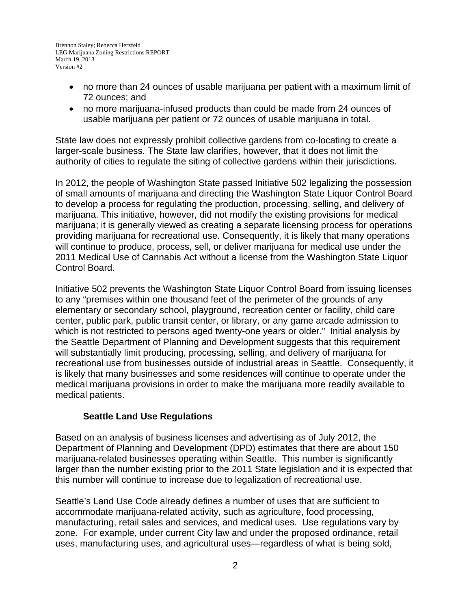- no more than 24 ounces of usable marijuana per patient with a maximum limit of 72 ounces; and
- no more marijuana-infused products than could be made from 24 ounces of usable marijuana per patient or 72 ounces of usable marijuana in total.

State law does not expressly prohibit collective gardens from co-locating to create a larger-scale business. The State law clarifies, however, that it does not limit the authority of cities to regulate the siting of collective gardens within their jurisdictions.

In 2012, the people of Washington State passed Initiative 502 legalizing the possession of small amounts of marijuana and directing the Washington State Liquor Control Board to develop a process for regulating the production, processing, selling, and delivery of marijuana. This initiative, however, did not modify the existing provisions for medical marijuana; it is generally viewed as creating a separate licensing process for operations providing marijuana for recreational use. Consequently, it is likely that many operations will continue to produce, process, sell, or deliver marijuana for medical use under the 2011 Medical Use of Cannabis Act without a license from the Washington State Liquor Control Board.

Initiative 502 prevents the Washington State Liquor Control Board from issuing licenses to any "premises within one thousand feet of the perimeter of the grounds of any elementary or secondary school, playground, recreation center or facility, child care center, public park, public transit center, or library, or any game arcade admission to which is not restricted to persons aged twenty-one years or older." Initial analysis by the Seattle Department of Planning and Development suggests that this requirement will substantially limit producing, processing, selling, and delivery of marijuana for recreational use from businesses outside of industrial areas in Seattle. Consequently, it is likely that many businesses and some residences will continue to operate under the medical marijuana provisions in order to make the marijuana more readily available to medical patients.

# **Seattle Land Use Regulations**

Based on an analysis of business licenses and advertising as of July 2012, the Department of Planning and Development (DPD) estimates that there are about 150 marijuana-related businesses operating within Seattle. This number is significantly larger than the number existing prior to the 2011 State legislation and it is expected that this number will continue to increase due to legalization of recreational use.

Seattle's Land Use Code already defines a number of uses that are sufficient to accommodate marijuana-related activity, such as agriculture, food processing, manufacturing, retail sales and services, and medical uses. Use regulations vary by zone. For example, under current City law and under the proposed ordinance, retail uses, manufacturing uses, and agricultural uses—regardless of what is being sold,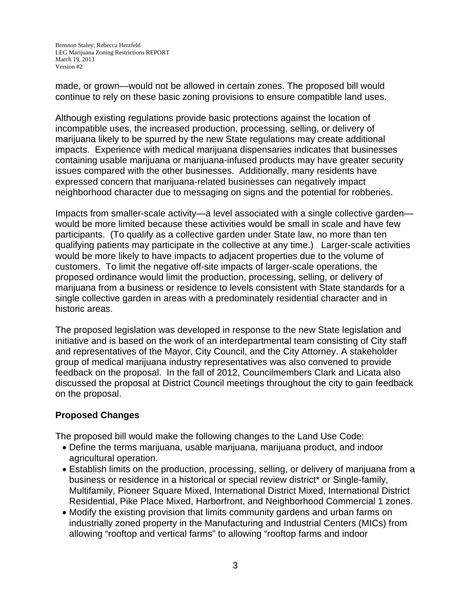made, or grown—would not be allowed in certain zones. The proposed bill would continue to rely on these basic zoning provisions to ensure compatible land uses.

Although existing regulations provide basic protections against the location of incompatible uses, the increased production, processing, selling, or delivery of marijuana likely to be spurred by the new State regulations may create additional impacts. Experience with medical marijuana dispensaries indicates that businesses containing usable marijuana or marijuana-infused products may have greater security issues compared with the other businesses. Additionally, many residents have expressed concern that marijuana-related businesses can negatively impact neighborhood character due to messaging on signs and the potential for robberies.

Impacts from smaller-scale activity—a level associated with a single collective garden would be more limited because these activities would be small in scale and have few participants. (To qualify as a collective garden under State law, no more than ten qualifying patients may participate in the collective at any time.) Larger-scale activities would be more likely to have impacts to adjacent properties due to the volume of customers. To limit the negative off-site impacts of larger-scale operations, the proposed ordinance would limit the production, processing, selling, or delivery of marijuana from a business or residence to levels consistent with State standards for a single collective garden in areas with a predominately residential character and in historic areas.

The proposed legislation was developed in response to the new State legislation and initiative and is based on the work of an interdepartmental team consisting of City staff and representatives of the Mayor, City Council, and the City Attorney. A stakeholder group of medical marijuana industry representatives was also convened to provide feedback on the proposal. In the fall of 2012, Councilmembers Clark and Licata also discussed the proposal at District Council meetings throughout the city to gain feedback on the proposal.

# **Proposed Changes**

The proposed bill would make the following changes to the Land Use Code:

- Define the terms marijuana, usable marijuana, marijuana product, and indoor agricultural operation.
- Establish limits on the production, processing, selling, or delivery of marijuana from a business or residence in a historical or special review district\* or Single-family, Multifamily, Pioneer Square Mixed, International District Mixed, International District Residential, Pike Place Mixed, Harborfront, and Neighborhood Commercial 1 zones.
- Modify the existing provision that limits community gardens and urban farms on industrially zoned property in the Manufacturing and Industrial Centers (MICs) from allowing "rooftop and vertical farms" to allowing "rooftop farms and indoor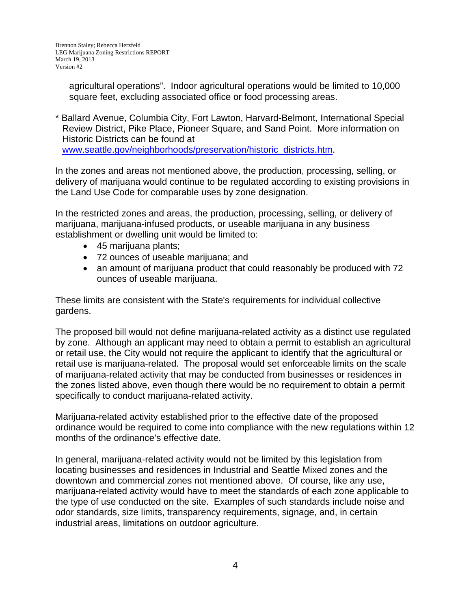agricultural operations". Indoor agricultural operations would be limited to 10,000 square feet, excluding associated office or food processing areas.

\* Ballard Avenue, Columbia City, Fort Lawton, Harvard-Belmont, International Special Review District, Pike Place, Pioneer Square, and Sand Point. More information on Historic Districts can be found at www.seattle.gov/neighborhoods/preservation/historic\_districts.htm.

In the zones and areas not mentioned above, the production, processing, selling, or delivery of marijuana would continue to be regulated according to existing provisions in the Land Use Code for comparable uses by zone designation.

In the restricted zones and areas, the production, processing, selling, or delivery of marijuana, marijuana-infused products, or useable marijuana in any business establishment or dwelling unit would be limited to:

- 45 marijuana plants;
- 72 ounces of useable marijuana; and
- an amount of marijuana product that could reasonably be produced with 72 ounces of useable marijuana.

These limits are consistent with the State's requirements for individual collective gardens.

The proposed bill would not define marijuana-related activity as a distinct use regulated by zone. Although an applicant may need to obtain a permit to establish an agricultural or retail use, the City would not require the applicant to identify that the agricultural or retail use is marijuana-related. The proposal would set enforceable limits on the scale of marijuana-related activity that may be conducted from businesses or residences in the zones listed above, even though there would be no requirement to obtain a permit specifically to conduct marijuana-related activity.

Marijuana-related activity established prior to the effective date of the proposed ordinance would be required to come into compliance with the new regulations within 12 months of the ordinance's effective date.

In general, marijuana-related activity would not be limited by this legislation from locating businesses and residences in Industrial and Seattle Mixed zones and the downtown and commercial zones not mentioned above. Of course, like any use, marijuana-related activity would have to meet the standards of each zone applicable to the type of use conducted on the site. Examples of such standards include noise and odor standards, size limits, transparency requirements, signage, and, in certain industrial areas, limitations on outdoor agriculture.